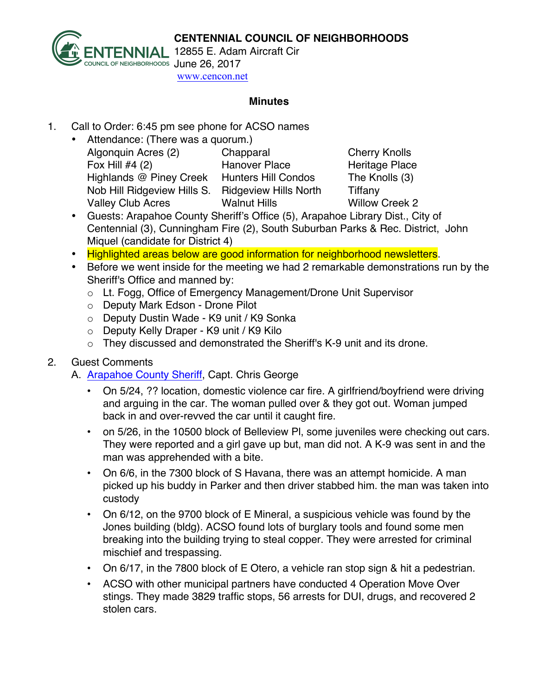

TENNIAL 12855 E. Adam Aircraft Cir www.cencon.net

## **Minutes**

- 1. Call to Order: 6:45 pm see phone for ACSO names
	- Attendance: (There was a quorum.) Algonquin Acres (2) Chapparal Cherry Knolls Fox Hill #4 (2) Hanover Place Heritage Place Highlands @ Piney Creek Hunters Hill Condos The Knolls (3) Nob Hill Ridgeview Hills S. Ridgeview Hills North Tiffany Valley Club Acres Walnut Hills Willow Creek 2

- Guests: Arapahoe County Sheriff's Office (5), Arapahoe Library Dist., City of Centennial (3), Cunningham Fire (2), South Suburban Parks & Rec. District, John Miquel (candidate for District 4)
- Highlighted areas below are good information for neighborhood newsletters.
- Before we went inside for the meeting we had 2 remarkable demonstrations run by the Sheriff's Office and manned by:
	- o Lt. Fogg, Office of Emergency Management/Drone Unit Supervisor
	- o Deputy Mark Edson Drone Pilot
	- o Deputy Dustin Wade K9 unit / K9 Sonka
	- o Deputy Kelly Draper K9 unit / K9 Kilo
	- o They discussed and demonstrated the Sheriff's K-9 unit and its drone.

## 2. Guest Comments

A. Arapahoe County Sheriff, Capt. Chris George

- On 5/24, ?? location, domestic violence car fire. A girlfriend/boyfriend were driving and arguing in the car. The woman pulled over & they got out. Woman jumped back in and over-revved the car until it caught fire.
- on 5/26, in the 10500 block of Belleview Pl, some juveniles were checking out cars. They were reported and a girl gave up but, man did not. A K-9 was sent in and the man was apprehended with a bite.
- On 6/6, in the 7300 block of S Havana, there was an attempt homicide. A man picked up his buddy in Parker and then driver stabbed him. the man was taken into custody
- On 6/12, on the 9700 block of E Mineral, a suspicious vehicle was found by the Jones building (bldg). ACSO found lots of burglary tools and found some men breaking into the building trying to steal copper. They were arrested for criminal mischief and trespassing.
- On 6/17, in the 7800 block of E Otero, a vehicle ran stop sign & hit a pedestrian.
- ACSO with other municipal partners have conducted 4 Operation Move Over stings. They made 3829 traffic stops, 56 arrests for DUI, drugs, and recovered 2 stolen cars.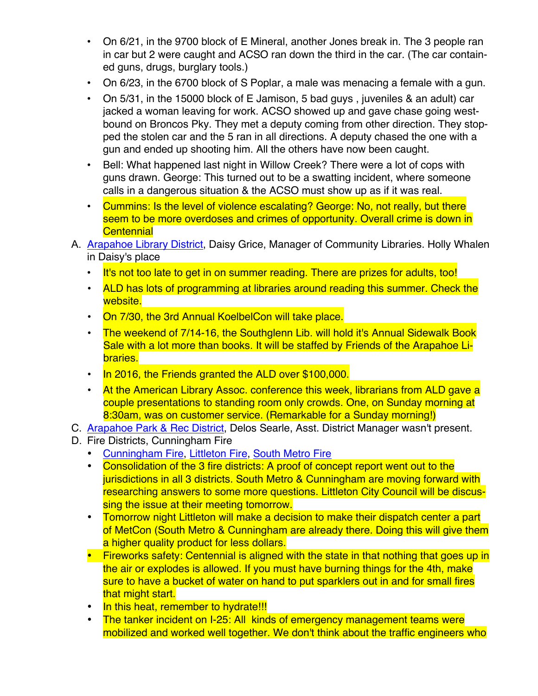- On 6/21, in the 9700 block of E Mineral, another Jones break in. The 3 people ran in car but 2 were caught and ACSO ran down the third in the car. (The car contained guns, drugs, burglary tools.)
- On 6/23, in the 6700 block of S Poplar, a male was menacing a female with a gun.
- On 5/31, in the 15000 block of E Jamison, 5 bad guys , juveniles & an adult) car jacked a woman leaving for work. ACSO showed up and gave chase going westbound on Broncos Pky. They met a deputy coming from other direction. They stopped the stolen car and the 5 ran in all directions. A deputy chased the one with a gun and ended up shooting him. All the others have now been caught.
- Bell: What happened last night in Willow Creek? There were a lot of cops with guns drawn. George: This turned out to be a swatting incident, where someone calls in a dangerous situation & the ACSO must show up as if it was real.
- Cummins: Is the level of violence escalating? George: No, not really, but there seem to be more overdoses and crimes of opportunity. Overall crime is down in **Centennial**
- A. Arapahoe Library District, Daisy Grice, Manager of Community Libraries. Holly Whalen in Daisy's place
	- It's not too late to get in on summer reading. There are prizes for adults, too!
	- ALD has lots of programming at libraries around reading this summer. Check the website.
	- On 7/30, the 3rd Annual KoelbelCon will take place.
	- The weekend of 7/14-16, the Southglenn Lib. will hold it's Annual Sidewalk Book Sale with a lot more than books. It will be staffed by Friends of the Arapahoe Libraries.
	- In 2016, the Friends granted the ALD over \$100,000.
	- At the American Library Assoc. conference this week, librarians from ALD gave a couple presentations to standing room only crowds. One, on Sunday morning at 8:30am, was on customer service. (Remarkable for a Sunday morning!)
- C. Arapahoe Park & Rec District, Delos Searle, Asst. District Manager wasn't present.
- D. Fire Districts, Cunningham Fire
	- Cunningham Fire, Littleton Fire, South Metro Fire
	- Consolidation of the 3 fire districts: A proof of concept report went out to the jurisdictions in all 3 districts. South Metro & Cunningham are moving forward with researching answers to some more questions. Littleton City Council will be discussing the issue at their meeting tomorrow.
	- Tomorrow night Littleton will make a decision to make their dispatch center a part of MetCon (South Metro & Cunningham are already there. Doing this will give them a higher quality product for less dollars.
	- Fireworks safety: Centennial is aligned with the state in that nothing that goes up in the air or explodes is allowed. If you must have burning things for the 4th, make sure to have a bucket of water on hand to put sparklers out in and for small fires that might start.
	- In this heat, remember to hydrate!!!
	- The tanker incident on I-25: All kinds of emergency management teams were mobilized and worked well together. We don't think about the traffic engineers who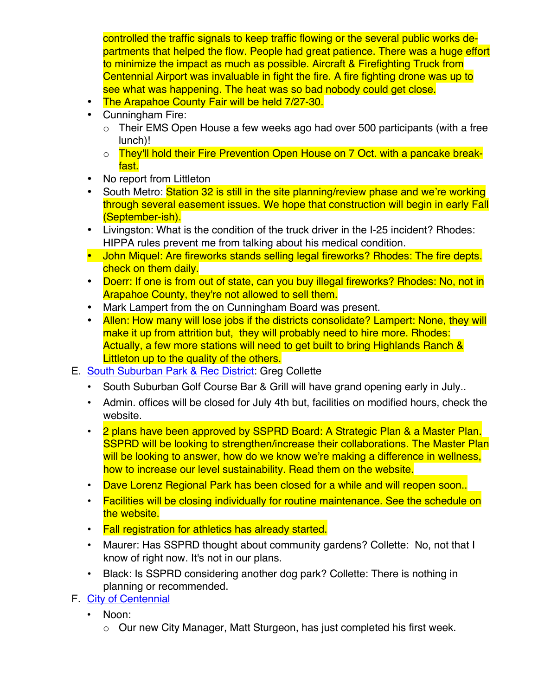controlled the traffic signals to keep traffic flowing or the several public works departments that helped the flow. People had great patience. There was a huge effort to minimize the impact as much as possible. Aircraft & Firefighting Truck from Centennial Airport was invaluable in fight the fire. A fire fighting drone was up to see what was happening. The heat was so bad nobody could get close.

- The Arapahoe County Fair will be held 7/27-30.
- Cunningham Fire:
	- o Their EMS Open House a few weeks ago had over 500 participants (with a free lunch)!
	- o They'll hold their Fire Prevention Open House on 7 Oct. with a pancake breakfast.
- No report from Littleton
- South Metro: Station 32 is still in the site planning/review phase and we're working through several easement issues. We hope that construction will begin in early Fall (September-ish).
- Livingston: What is the condition of the truck driver in the I-25 incident? Rhodes: HIPPA rules prevent me from talking about his medical condition.
- John Miquel: Are fireworks stands selling legal fireworks? Rhodes: The fire depts. check on them daily.
- Doerr: If one is from out of state, can you buy illegal fireworks? Rhodes: No, not in Arapahoe County, they're not allowed to sell them.
- Mark Lampert from the on Cunningham Board was present.
- Allen: How many will lose jobs if the districts consolidate? Lampert: None, they will make it up from attrition but, they will probably need to hire more. Rhodes: Actually, a few more stations will need to get built to bring Highlands Ranch & Littleton up to the quality of the others.
- E. South Suburban Park & Rec District: Greg Collette
	- South Suburban Golf Course Bar & Grill will have grand opening early in July..
	- Admin. offices will be closed for July 4th but, facilities on modified hours, check the website.
	- 2 plans have been approved by SSPRD Board: A Strategic Plan & a Master Plan. SSPRD will be looking to strengthen/increase their collaborations. The Master Plan will be looking to answer, how do we know we're making a difference in wellness. how to increase our level sustainability. Read them on the website.
	- Dave Lorenz Regional Park has been closed for a while and will reopen soon..
	- Facilities will be closing individually for routine maintenance. See the schedule on the website.
	- Fall registration for athletics has already started.
	- Maurer: Has SSPRD thought about community gardens? Collette: No, not that I know of right now. It's not in our plans.
	- Black: Is SSPRD considering another dog park? Collette: There is nothing in planning or recommended.
- F. City of Centennial
	- Noon:
		- o Our new City Manager, Matt Sturgeon, has just completed his first week.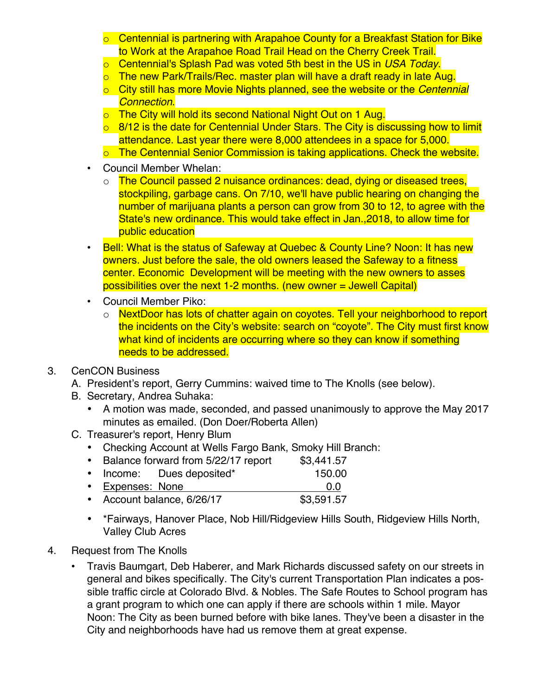- o Centennial is partnering with Arapahoe County for a Breakfast Station for Bike to Work at the Arapahoe Road Trail Head on the Cherry Creek Trail.
- o Centennial's Splash Pad was voted 5th best in the US in *USA Today*.
- o The new Park/Trails/Rec. master plan will have a draft ready in late Aug.
- o City still has more Movie Nights planned, see the website or the *Centennial Connection*.
- o The City will hold its second National Night Out on 1 Aug.
- $\circ$  8/12 is the date for Centennial Under Stars. The City is discussing how to limit attendance. Last year there were 8,000 attendees in a space for 5,000.
- o The Centennial Senior Commission is taking applications. Check the website.
- Council Member Whelan:
	- o The Council passed 2 nuisance ordinances: dead, dying or diseased trees, stockpiling, garbage cans. On 7/10, we'll have public hearing on changing the number of marijuana plants a person can grow from 30 to 12, to agree with the State's new ordinance. This would take effect in Jan.,2018, to allow time for public education
- Bell: What is the status of Safeway at Quebec & County Line? Noon: It has new owners. Just before the sale, the old owners leased the Safeway to a fitness center. Economic Development will be meeting with the new owners to asses possibilities over the next 1-2 months. (new owner = Jewell Capital)
- Council Member Piko:
	- o NextDoor has lots of chatter again on coyotes. Tell your neighborhood to report the incidents on the City's website: search on "coyote". The City must first know what kind of incidents are occurring where so they can know if something needs to be addressed.
- 3. CenCON Business
	- A. President's report, Gerry Cummins: waived time to The Knolls (see below).
	- B. Secretary, Andrea Suhaka:
		- A motion was made, seconded, and passed unanimously to approve the May 2017 minutes as emailed. (Don Doer/Roberta Allen)
	- C. Treasurer's report, Henry Blum
		- Checking Account at Wells Fargo Bank, Smoky Hill Branch:
		- Balance forward from 5/22/17 report \$3,441.57
		- Income: Dues deposited\* 150.00
		- Expenses: None 0.0
		- Account balance, 6/26/17 \$3,591.57
		- \*Fairways, Hanover Place, Nob Hill/Ridgeview Hills South, Ridgeview Hills North, Valley Club Acres
- 4. Request from The Knolls
	- Travis Baumgart, Deb Haberer, and Mark Richards discussed safety on our streets in general and bikes specifically. The City's current Transportation Plan indicates a possible traffic circle at Colorado Blvd. & Nobles. The Safe Routes to School program has a grant program to which one can apply if there are schools within 1 mile. Mayor Noon: The City as been burned before with bike lanes. They've been a disaster in the City and neighborhoods have had us remove them at great expense.